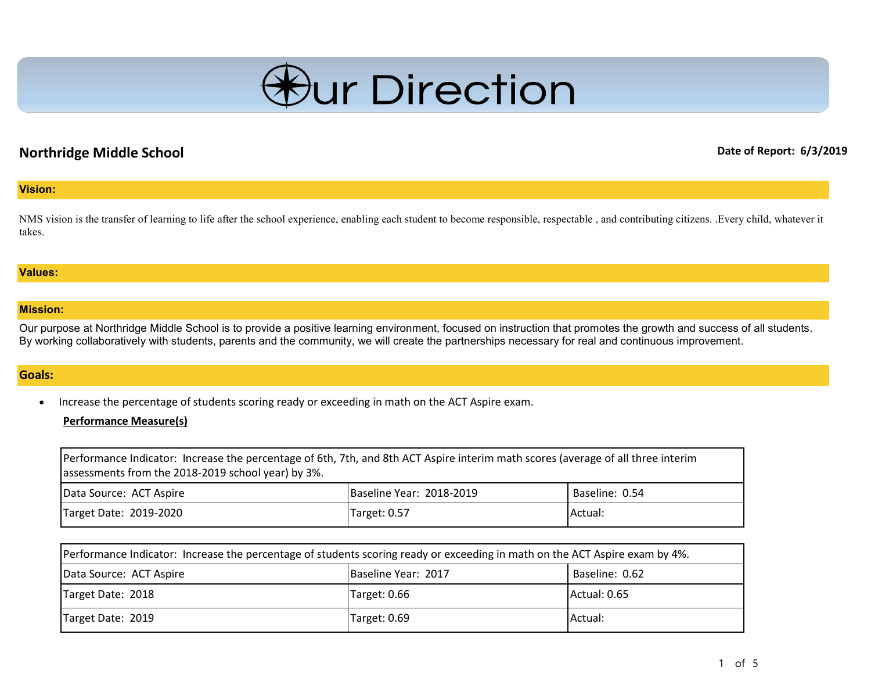

# **Northridge Middle School Date of Report: 6/3/2019**

#### **Vision:**

NMS vision is the transfer of learning to life after the school experience, enabling each student to become responsible, respectable, and contributing citizens. .Every child, whatever it takes.

#### **Values:**

#### **Mission:**

Our purpose at Northridge Middle School is to provide a positive learning environment, focused on instruction that promotes the growth and success of all students. By working collaboratively with students, parents and the community, we will create the partnerships necessary for real and continuous improvement.

#### **Goals:**

• Increase the percentage of students scoring ready or exceeding in math on the ACT Aspire exam.

#### **Performance Measure(s)**

| Performance Indicator: Increase the percentage of 6th, 7th, and 8th ACT Aspire interim math scores (average of all three interim<br>assessments from the 2018-2019 school year) by 3%. |                          |                |
|----------------------------------------------------------------------------------------------------------------------------------------------------------------------------------------|--------------------------|----------------|
| Data Source: ACT Aspire                                                                                                                                                                | Baseline Year: 2018-2019 | Baseline: 0.54 |
| Target Date: 2019-2020                                                                                                                                                                 | Target: 0.57             | <b>Actual:</b> |

| Performance Indicator: Increase the percentage of students scoring ready or exceeding in math on the ACT Aspire exam by 4%. |                     |                |
|-----------------------------------------------------------------------------------------------------------------------------|---------------------|----------------|
| Data Source: ACT Aspire                                                                                                     | Baseline Year: 2017 | Baseline: 0.62 |
| Target Date: 2018                                                                                                           | Target: 0.66        | Actual: 0.65   |
| Target Date: 2019                                                                                                           | Target: 0.69        | Actual:        |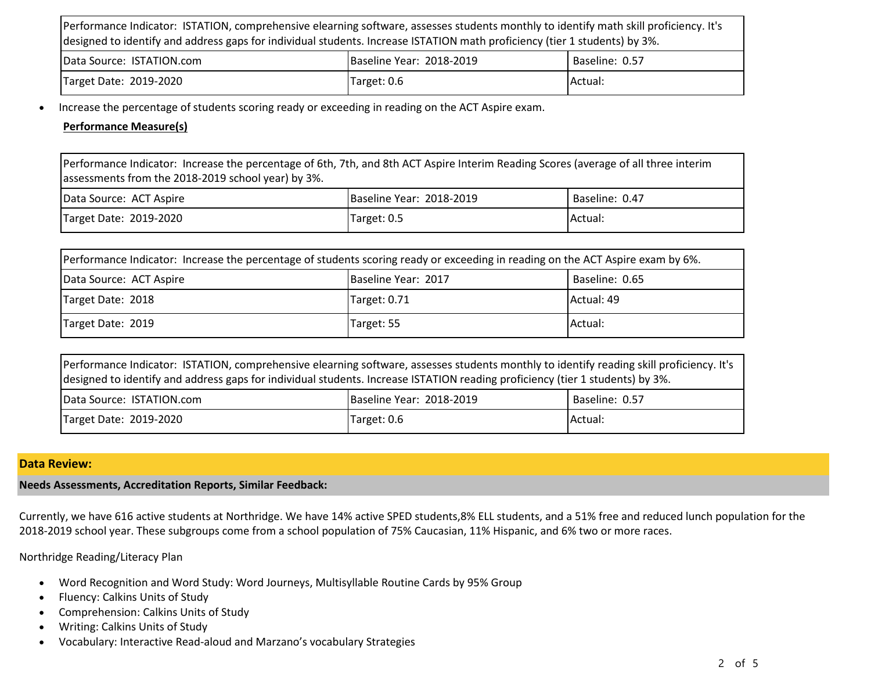| Performance Indicator: ISTATION, comprehensive elearning software, assesses students monthly to identify math skill proficiency. It's<br>ldesigned to identify and address gaps for individual students. Increase ISTATION math proficiency (tier 1 students) by 3%. |                          |                |
|----------------------------------------------------------------------------------------------------------------------------------------------------------------------------------------------------------------------------------------------------------------------|--------------------------|----------------|
| Data Source: ISTATION.com                                                                                                                                                                                                                                            | Baseline Year: 2018-2019 | Baseline: 0.57 |
| Target Date: 2019-2020                                                                                                                                                                                                                                               | Target: 0.6              | Actual:        |

• Increase the percentage of students scoring ready or exceeding in reading on the ACT Aspire exam.

### **Performance Measure(s)**

Performance Indicator: Increase the percentage of 6th, 7th, and 8th ACT Aspire Interim Reading Scores (average of all three interim assessments from the 2018-2019 school year) by 3%.

| Data Source: ACT Aspire | Baseline Year: 2018-2019 | Baseline: 0.47 |
|-------------------------|--------------------------|----------------|
| Target Date: 2019-2020  | Target: 0.5              | IActual:       |

| Performance Indicator: Increase the percentage of students scoring ready or exceeding in reading on the ACT Aspire exam by 6%. |                     |                |
|--------------------------------------------------------------------------------------------------------------------------------|---------------------|----------------|
| Data Source: ACT Aspire                                                                                                        | Baseline Year: 2017 | Baseline: 0.65 |
| Target Date: 2018                                                                                                              | Target: 0.71        | Actual: 49     |
| Target Date: 2019                                                                                                              | Target: 55          | Actual:        |

| ldesigned to identify and address gaps for individual students. Increase ISTATION reading proficiency (tier 1 students) by 3%.<br><u>La universitat angles de la mondo de la conte</u> |  |  |
|----------------------------------------------------------------------------------------------------------------------------------------------------------------------------------------|--|--|
| Performance Indicator: ISTATION, comprehensive elearning software, assesses students monthly to identify reading skill proficiency. It's                                               |  |  |

| <b>IData Source: ISTATION.com</b> | Baseline Year: 2018-2019 | Baseline: 0.57 |
|-----------------------------------|--------------------------|----------------|
| Target Date: 2019-2020            | Target: 0.6              | IActual.       |

### **Data Review:**

#### **Needs Assessments, Accreditation Reports, Similar Feedback:**

Currently, we have 616 active students at Northridge. We have 14% active SPED students,8% ELL students, and a 51% free and reduced lunch population for the 2018-2019 school year. These subgroups come from a school population of 75% Caucasian, 11% Hispanic, and 6% two or more races.

Northridge Reading/Literacy Plan

- Word Recognition and Word Study: Word Journeys, Multisyllable Routine Cards by 95% Group
- Fluency: Calkins Units of Study
- Comprehension: Calkins Units of Study
- Writing: Calkins Units of Study
- Vocabulary: Interactive Read-aloud and Marzano's vocabulary Strategies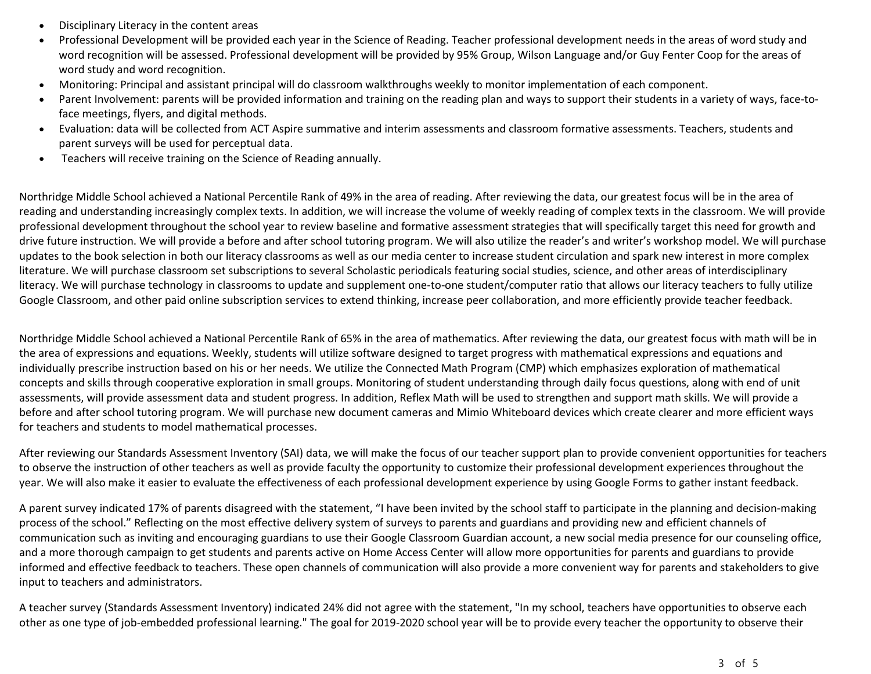- Disciplinary Literacy in the content areas
- Professional Development will be provided each year in the Science of Reading. Teacher professional development needs in the areas of word study and word recognition will be assessed. Professional development will be provided by 95% Group, Wilson Language and/or Guy Fenter Coop for the areas of word study and word recognition.
- Monitoring: Principal and assistant principal will do classroom walkthroughs weekly to monitor implementation of each component.
- Parent Involvement: parents will be provided information and training on the reading plan and ways to support their students in a variety of ways, face-toface meetings, flyers, and digital methods.
- Evaluation: data will be collected from ACT Aspire summative and interim assessments and classroom formative assessments. Teachers, students and parent surveys will be used for perceptual data.
- Teachers will receive training on the Science of Reading annually.

Northridge Middle School achieved a National Percentile Rank of 49% in the area of reading. After reviewing the data, our greatest focus will be in the area of reading and understanding increasingly complex texts. In addition, we will increase the volume of weekly reading of complex texts in the classroom. We will provide professional development throughout the school year to review baseline and formative assessment strategies that will specifically target this need for growth and drive future instruction. We will provide a before and after school tutoring program. We will also utilize the reader's and writer's workshop model. We will purchase updates to the book selection in both our literacy classrooms as well as our media center to increase student circulation and spark new interest in more complex literature. We will purchase classroom set subscriptions to several Scholastic periodicals featuring social studies, science, and other areas of interdisciplinary literacy. We will purchase technology in classrooms to update and supplement one-to-one student/computer ratio that allows our literacy teachers to fully utilize Google Classroom, and other paid online subscription services to extend thinking, increase peer collaboration, and more efficiently provide teacher feedback.

Northridge Middle School achieved a National Percentile Rank of 65% in the area of mathematics. After reviewing the data, our greatest focus with math will be in the area of expressions and equations. Weekly, students will utilize software designed to target progress with mathematical expressions and equations and individually prescribe instruction based on his or her needs. We utilize the Connected Math Program (CMP) which emphasizes exploration of mathematical concepts and skills through cooperative exploration in small groups. Monitoring of student understanding through daily focus questions, along with end of unit assessments, will provide assessment data and student progress. In addition, Reflex Math will be used to strengthen and support math skills. We will provide a before and after school tutoring program. We will purchase new document cameras and Mimio Whiteboard devices which create clearer and more efficient ways for teachers and students to model mathematical processes.

After reviewing our Standards Assessment Inventory (SAI) data, we will make the focus of our teacher support plan to provide convenient opportunities for teachers to observe the instruction of other teachers as well as provide faculty the opportunity to customize their professional development experiences throughout the year. We will also make it easier to evaluate the effectiveness of each professional development experience by using Google Forms to gather instant feedback.

A parent survey indicated 17% of parents disagreed with the statement, "I have been invited by the school staff to participate in the planning and decision-making process of the school." Reflecting on the most effective delivery system of surveys to parents and guardians and providing new and efficient channels of communication such as inviting and encouraging guardians to use their Google Classroom Guardian account, a new social media presence for our counseling office, and a more thorough campaign to get students and parents active on Home Access Center will allow more opportunities for parents and guardians to provide informed and effective feedback to teachers. These open channels of communication will also provide a more convenient way for parents and stakeholders to give input to teachers and administrators.

A teacher survey (Standards Assessment Inventory) indicated 24% did not agree with the statement, "In my school, teachers have opportunities to observe each other as one type of job-embedded professional learning." The goal for 2019-2020 school year will be to provide every teacher the opportunity to observe their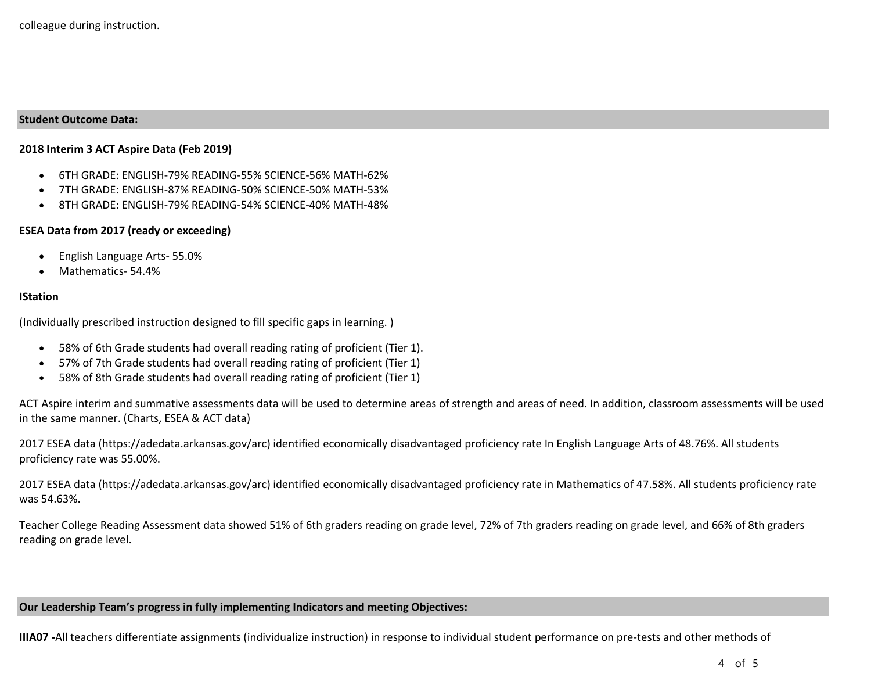#### **Student Outcome Data:**

#### **2018 Interim 3 ACT Aspire Data (Feb 2019)**

- 6TH GRADE: ENGLISH-79% READING-55% SCIENCE-56% MATH-62%
- 7TH GRADE: ENGLISH-87% READING-50% SCIENCE-50% MATH-53%
- 8TH GRADE: ENGLISH-79% READING-54% SCIENCE-40% MATH-48%

#### **ESEA Data from 2017 (ready or exceeding)**

- English Language Arts- 55.0%
- Mathematics- 54.4%

#### **IStation**

(Individually prescribed instruction designed to fill specific gaps in learning. )

- 58% of 6th Grade students had overall reading rating of proficient (Tier 1).
- 57% of 7th Grade students had overall reading rating of proficient (Tier 1)
- 58% of 8th Grade students had overall reading rating of proficient (Tier 1)

ACT Aspire interim and summative assessments data will be used to determine areas of strength and areas of need. In addition, classroom assessments will be used in the same manner. (Charts, ESEA & ACT data)

2017 ESEA data (https://adedata.arkansas.gov/arc) identified economically disadvantaged proficiency rate In English Language Arts of 48.76%. All students proficiency rate was 55.00%.

2017 ESEA data (https://adedata.arkansas.gov/arc) identified economically disadvantaged proficiency rate in Mathematics of 47.58%. All students proficiency rate was 54.63%.

Teacher College Reading Assessment data showed 51% of 6th graders reading on grade level, 72% of 7th graders reading on grade level, and 66% of 8th graders reading on grade level.

**Our Leadership Team's progress in fully implementing Indicators and meeting Objectives:**

**IIIA07 -**All teachers differentiate assignments (individualize instruction) in response to individual student performance on pre-tests and other methods of